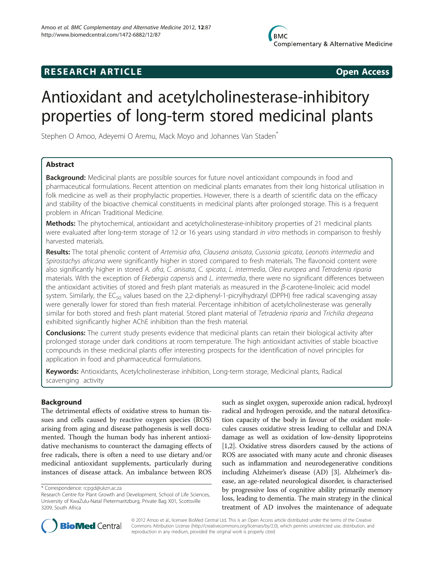# **RESEARCH ARTICLE CONSUMING A RESEARCH ARTICLE**

# Antioxidant and acetylcholinesterase-inhibitory properties of long-term stored medicinal plants

Stephen O Amoo, Adeyemi O Aremu, Mack Moyo and Johannes Van Staden<sup>®</sup>

# Abstract

**Background:** Medicinal plants are possible sources for future novel antioxidant compounds in food and pharmaceutical formulations. Recent attention on medicinal plants emanates from their long historical utilisation in folk medicine as well as their prophylactic properties. However, there is a dearth of scientific data on the efficacy and stability of the bioactive chemical constituents in medicinal plants after prolonged storage. This is a frequent problem in African Traditional Medicine.

Methods: The phytochemical, antioxidant and acetylcholinesterase-inhibitory properties of 21 medicinal plants were evaluated after long-term storage of 12 or 16 years using standard in vitro methods in comparison to freshly harvested materials.

Results: The total phenolic content of Artemisia afra, Clausena anisata, Cussonia spicata, Leonotis intermedia and Spirostachys africana were significantly higher in stored compared to fresh materials. The flavonoid content were also significantly higher in stored A. afra, C. anisata, C. spicata, L. intermedia, Olea europea and Tetradenia riparia materials. With the exception of Ekebergia capensis and L. intermedia, there were no significant differences between the antioxidant activities of stored and fresh plant materials as measured in the β-carotene-linoleic acid model system. Similarly, the EC<sub>50</sub> values based on the 2,2-diphenyl-1-picrylhydrazyl (DPPH) free radical scavenging assay were generally lower for stored than fresh material. Percentage inhibition of acetylcholinesterase was generally similar for both stored and fresh plant material. Stored plant material of Tetradenia riparia and Trichilia dregeana exhibited significantly higher AChE inhibition than the fresh material.

**Conclusions:** The current study presents evidence that medicinal plants can retain their biological activity after prolonged storage under dark conditions at room temperature. The high antioxidant activities of stable bioactive compounds in these medicinal plants offer interesting prospects for the identification of novel principles for application in food and pharmaceutical formulations.

Keywords: Antioxidants, Acetylcholinesterase inhibition, Long-term storage, Medicinal plants, Radical scavenging activity

# Background

The detrimental effects of oxidative stress to human tissues and cells caused by reactive oxygen species (ROS) arising from aging and disease pathogenesis is well documented. Though the human body has inherent antioxidative mechanisms to counteract the damaging effects of free radicals, there is often a need to use dietary and/or medicinal antioxidant supplements, particularly during instances of disease attack. An imbalance between ROS

such as singlet oxygen, superoxide anion radical, hydroxyl radical and hydrogen peroxide, and the natural detoxification capacity of the body in favour of the oxidant molecules causes oxidative stress leading to cellular and DNA damage as well as oxidation of low-density lipoproteins [[1,2](#page-7-0)]. Oxidative stress disorders caused by the actions of ROS are associated with many acute and chronic diseases such as inflammation and neurodegenerative conditions including Alzheimer's disease (AD) [\[3\]](#page-7-0). Alzheimer's disease, an age-related neurological disorder, is characterised by progressive loss of cognitive ability primarily memory loss, leading to dementia. The main strategy in the clinical treatment of AD involves the maintenance of adequate



© 2012 Amoo et al.; licensee BioMed Central Ltd. This is an Open Access article distributed under the terms of the Creative Commons Attribution License [\(http://creativecommons.org/licenses/by/2.0\)](http://creativecommons.org/licenses/by/2.0), which permits unrestricted use, distribution, and reproduction in any medium, provided the original work is properly cited.

<sup>\*</sup> Correspondence: [rcpgd@ukzn.ac.za](mailto:rcpgd@ukzn.ac.za)

Research Centre for Plant Growth and Development, School of Life Sciences, University of KwaZulu-Natal Pietermaritzburg, Private Bag X01, Scottsville 3209, South Africa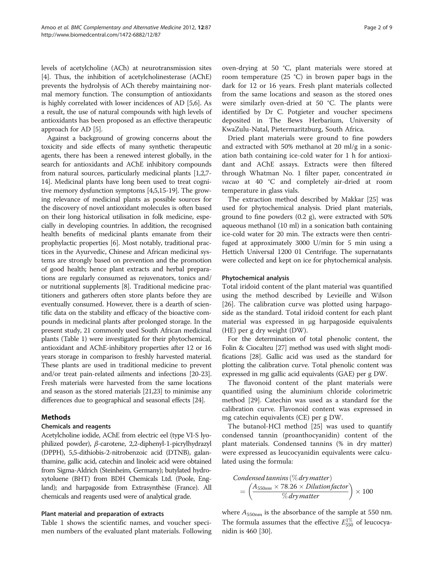levels of acetylcholine (ACh) at neurotransmission sites [[4\]](#page-7-0). Thus, the inhibition of acetylcholinesterase (AChE) prevents the hydrolysis of ACh thereby maintaining normal memory function. The consumption of antioxidants is highly correlated with lower incidences of AD [[5](#page-7-0),[6](#page-7-0)]. As a result, the use of natural compounds with high levels of antioxidants has been proposed as an effective therapeutic approach for AD [[5\]](#page-7-0).

Against a background of growing concerns about the toxicity and side effects of many synthetic therapeutic agents, there has been a renewed interest globally, in the search for antioxidants and AChE inhibitory compounds from natural sources, particularly medicinal plants [[1,2](#page-7-0)[,7](#page-8-0)- [14](#page-8-0)]. Medicinal plants have long been used to treat cognitive memory dysfunction symptoms [\[4,5](#page-7-0)[,15-19\]](#page-8-0). The growing relevance of medicinal plants as possible sources for the discovery of novel antioxidant molecules is often based on their long historical utilisation in folk medicine, especially in developing countries. In addition, the recognised health benefits of medicinal plants emanate from their prophylactic properties [[6](#page-7-0)]. Most notably, traditional practices in the Ayurvedic, Chinese and African medicinal systems are strongly based on prevention and the promotion of good health; hence plant extracts and herbal preparations are regularly consumed as rejuvenators, tonics and/ or nutritional supplements [\[8\]](#page-8-0). Traditional medicine practitioners and gatherers often store plants before they are eventually consumed. However, there is a dearth of scientific data on the stability and efficacy of the bioactive compounds in medicinal plants after prolonged storage. In the present study, 21 commonly used South African medicinal plants (Table [1](#page-2-0)) were investigated for their phytochemical, antioxidant and AChE-inhibitory properties after 12 or 16 years storage in comparison to freshly harvested material. These plants are used in traditional medicine to prevent and/or treat pain-related ailments and infections [\[20](#page-8-0)-[23](#page-8-0)]. Fresh materials were harvested from the same locations and season as the stored materials [\[21,23](#page-8-0)] to minimise any differences due to geographical and seasonal effects [\[24\]](#page-8-0).

# Methods

# Chemicals and reagents

Acetylcholine iodide, AChE from electric eel (type VI-S lyophilized powder), β-carotene, 2,2-diphenyl-1-picrylhydrazyl (DPPH), 5,5-dithiobis-2-nitrobenzoic acid (DTNB), galanthamine, gallic acid, catechin and linoleic acid were obtained from Sigma-Aldrich (Steinheim, Germany); butylated hydroxytoluene (BHT) from BDH Chemicals Ltd. (Poole, England); and harpagoside from Extrasynthèse (France). All chemicals and reagents used were of analytical grade.

# Plant material and preparation of extracts

Table [1](#page-2-0) shows the scientific names, and voucher specimen numbers of the evaluated plant materials. Following oven-drying at 50 °C, plant materials were stored at room temperature (25 °C) in brown paper bags in the dark for 12 or 16 years. Fresh plant materials collected from the same locations and season as the stored ones were similarly oven-dried at 50 °C. The plants were identified by Dr C. Potgieter and voucher specimens deposited in The Bews Herbarium, University of KwaZulu-Natal, Pietermaritzburg, South Africa.

Dried plant materials were ground to fine powders and extracted with 50% methanol at 20 ml/g in a sonication bath containing ice-cold water for 1 h for antioxidant and AChE assays. Extracts were then filtered through Whatman No. 1 filter paper, concentrated in vacuo at 40 °C and completely air-dried at room temperature in glass vials.

The extraction method described by Makkar [[25](#page-8-0)] was used for phytochemical analysis. Dried plant materials, ground to fine powders (0.2 g), were extracted with 50% aqueous methanol (10 ml) in a sonication bath containing ice-cold water for 20 min. The extracts were then centrifuged at approximately 3000 U/min for 5 min using a Hettich Universal 1200 01 Centrifuge. The supernatants were collected and kept on ice for phytochemical analysis.

# Phytochemical analysis

Total iridoid content of the plant material was quantified using the method described by Levieille and Wilson [[26\]](#page-8-0). The calibration curve was plotted using harpagoside as the standard. Total iridoid content for each plant material was expressed in μg harpagoside equivalents (HE) per g dry weight (DW).

For the determination of total phenolic content, the Folin & Ciocalteu [\[27\]](#page-8-0) method was used with slight modifications [[28](#page-8-0)]. Gallic acid was used as the standard for plotting the calibration curve. Total phenolic content was expressed in mg gallic acid equivalents (GAE) per g DW.

The flavonoid content of the plant materials were quantified using the aluminium chloride colorimetric method [[29\]](#page-8-0). Catechin was used as a standard for the calibration curve. Flavonoid content was expressed in mg catechin equivalents (CE) per g DW.

The butanol-HCl method [[25\]](#page-8-0) was used to quantify condensed tannin (proanthocyanidin) content of the plant materials. Condensed tannins (% in dry matter) were expressed as leucocyanidin equivalents were calculated using the formula:

$$
Condensed \t{\t{annins}} (\% \text{ dry matter}) \\
= \left(\frac{A_{550nm} \times 78.26 \times Dilution factor}{\% \text{ dry matter}}\right) \times 100
$$

where  $A_{550nm}$  is the absorbance of the sample at 550 nm. The formula assumes that the effective  $E_{550}^{1\%}$  of leucocyanidin is 460 [[30](#page-8-0)].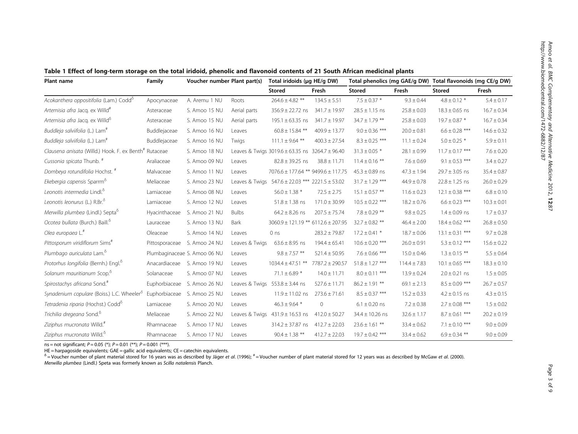| Plant name                                             | Family         | Voucher number Plant part(s) |                | Total iridoids (ug HE/g DW)                             |                   |                     |                  | Total phenolics (mg GAE/g DW) Total flavonoids (mg CE/g DW) |                 |
|--------------------------------------------------------|----------------|------------------------------|----------------|---------------------------------------------------------|-------------------|---------------------|------------------|-------------------------------------------------------------|-----------------|
|                                                        |                |                              |                | <b>Stored</b>                                           | Fresh             | <b>Stored</b>       | Fresh            | <b>Stored</b>                                               | Fresh           |
| Acokanthera oppositifolia (Lam.) Codd <sup>6</sup>     | Apocynaceae    | A. Aremu 1 NU                | Roots          | $264.6 \pm 4.82$ **                                     | $134.5 \pm 5.51$  | $7.5 \pm 0.37$ *    | $9.3 \pm 0.44$   | $4.8 \pm 0.12$ *                                            | $5.4 \pm 0.17$  |
| Artemisia afra Jacq. ex Willd <sup>#</sup>             | Asteraceae     | S. Amoo 15 NU                | Aerial parts   | $356.9 \pm 22.72$ ns                                    | $341.7 \pm 19.97$ | $28.5 \pm 1.15$ ns  | $25.8 \pm 0.03$  | $18.3 \pm 0.65$ ns                                          | $16.7 \pm 0.34$ |
| Artemisia afra Jacq. ex Willd <sup>o</sup>             | Asteraceae     | S. Amoo 15 NU                | Aerial parts   | 195.1 $\pm$ 63.35 ns                                    | $341.7 \pm 19.97$ | $34.7 \pm 1.79$ **  | $25.8 \pm 0.03$  | $19.7 \pm 0.87$ *                                           | $16.7 \pm 0.34$ |
| Buddleja salviifolia (L.) Lam <sup>#</sup>             | Buddlejaceae   | S. Amoo 16 NU                | Leaves         | $60.8 \pm 15.84$ **                                     | $409.9 \pm 13.77$ | $9.0 \pm 0.36$ ***  | $20.0 \pm 0.81$  | $6.6 \pm 0.28$ ***                                          | $14.6 \pm 0.32$ |
| Buddleja salviifolia (L.) Lam <sup>#</sup>             | Buddlejaceae   | S. Amoo 16 NU                | Twigs          | $111.1 \pm 9.64$ **                                     | $400.3 \pm 27.54$ | $8.3 \pm 0.25$ ***  | $11.1 \pm 0.24$  | $5.0 \pm 0.25$ *                                            | $5.9 \pm 0.11$  |
| Clausena anisata (Willd.) Hook. F. ex Benth# Rutaceae  |                | S. Amoo 18 NU                |                | Leaves & Twigs $3019.6 \pm 63.35$ ns $3264.7 \pm 96.40$ |                   | $31.3 \pm 0.05$ *   | $28.1 \pm 0.99$  | $11.7 \pm 0.17$ ***                                         | $7.6 \pm 0.20$  |
| Cussonia spicata Thunb. <sup>#</sup>                   | Araliaceae     | S. Amoo 09 NU                | Leaves         | $82.8 \pm 39.25$ ns                                     | $38.8 \pm 11.71$  | $11.4 \pm 0.16$ **  | $7.6 \pm 0.69$   | $9.1 \pm 0.53$ ***                                          | $3.4 \pm 0.27$  |
| Dombeya rotundifolia Hochst. <sup>#</sup>              | Malvaceae      | S. Amoo 11 NU                | Leaves         | 7076.6 ± 177.64 ** 9499.6 ± 117.75                      |                   | $45.3 \pm 0.89$ ns  | $47.3 \pm 1.94$  | $29.7 \pm 3.05$ ns                                          | $35.4 \pm 0.87$ |
| Ekebergia capensis Sparrm <sup>6</sup>                 | Meliaceae      | S. Amoo 23 NU                | Leaves & Twigs | $547.6 \pm 22.03$ *** 2221.5 $\pm$ 53.02                |                   | $31.7 \pm 1.29$ *** | $44.9 \pm 0.78$  | $22.8 \pm 1.25$ ns                                          | $26.0 \pm 0.29$ |
| Leonotis intermedia Lindl. <sup>5</sup>                | Lamiaceae      | S. Amoo 08 NU                | Leaves         | $56.0 \pm 1.38$ *                                       | $72.5 \pm 2.75$   | $15.1 \pm 0.57$ **  | $11.6 \pm 0.23$  | $12.1 \pm 0.38$ ***                                         | $6.8 \pm 0.10$  |
| Leonotis leonurus (L.) R.Br. <sup>6</sup>              | Lamiaceae      | S. Amoo 12 NU                | Leaves         | $51.8 \pm 1.38$ ns                                      | $171.0 \pm 30.99$ | $10.5 \pm 0.22$ *** | $18.2 \pm 0.76$  | $6.6 \pm 0.23$ ***                                          | $10.3 \pm 0.01$ |
| Merwilla plumbea (Lindl.) Septa <sup>o</sup>           | Hyacinthaceae  | S. Amoo 21 NU                | <b>Bulbs</b>   | $64.2 \pm 8.26$ ns                                      | $207.5 \pm 75.74$ | $7.8 \pm 0.29$ **   | $9.8 \pm 0.25$   | $1.4 \pm 0.09$ ns                                           | $1.7 \pm 0.37$  |
| Ocotea bullata (Burch.) Baill. <sup>6</sup>            | Lauraceae      | S. Amoo 13 NU                | Bark           | $3060.9 \pm 121.19$ ** 6112.6 ± 207.95                  |                   | $32.7 \pm 0.82$ **  | $46.4 \pm 2.00$  | $18.4 \pm 0.62$ ***                                         | $26.8 \pm 0.50$ |
| Olea europaea L.#                                      | Oleaceae       | S. Amoo 14 NU                | Leaves         | 0 <sub>ns</sub>                                         | $283.2 \pm 79.87$ | $17.2 \pm 0.41$ *   | $18.7 \pm 0.06$  | $13.1 \pm 0.31$ ***                                         | $9.7 \pm 0.28$  |
| Pittosporum viridiflorum Sims <sup>#</sup>             | Pittosporaceae | S. Amoo 24 NU                | Leaves & Twigs | $63.6 \pm 8.95$ ns                                      | $194.4 \pm 65.41$ | $10.6 \pm 0.20$ *** | $26.0 \pm 0.91$  | $5.3 \pm 0.12$ ***                                          | $15.6 \pm 0.22$ |
| Plumbago auriculata Lam. <sup>6</sup>                  |                | Plumbaginaceae S. Amoo 06 NU | Leaves         | $9.8 \pm 7.57$ **                                       | $521.4 \pm 50.95$ | $7.6 \pm 0.66$ ***  | $15.0 \pm 0.46$  | $1.3 \pm 0.15$ **                                           | $5.5 \pm 0.64$  |
| Protorhus longifolia (Bernh.) Engl. <sup>o</sup>       | Anacardiaceae  | S. Amoo 19 NU                | Leaves         | $1034.4 \pm 47.51$ **                                   | 7787.2 ± 290.57   | $51.8 \pm 1.27$ *** | $114.4 \pm 7.83$ | $10.1 \pm 0.65$ ***                                         | $18.3 \pm 0.10$ |
| Solanum mauritianum Scop. <sup>6</sup>                 | Solanaceae     | S. Amoo 07 NU                | Leaves         | $71.1 \pm 6.89$ *                                       | $14.0 \pm 11.71$  | $8.0 \pm 0.11$ ***  | $13.9 \pm 0.24$  | $2.0 \pm 0.21$ ns                                           | $1.5 \pm 0.05$  |
| Spirostachys africana Sond."                           | Euphorbiaceae  | S. Amoo 26 NU                | Leaves & Twigs | $553.8 \pm 3.44$ ns                                     | $527.6 \pm 11.71$ | $86.2 \pm 1.91$ **  | $69.1 \pm 2.13$  | $8.5 \pm 0.09$ ***                                          | $26.7 \pm 0.57$ |
| Synadenium copulare (Boiss.) L.C. Wheeler <sup>o</sup> | Euphorbiaceae  | S. Amoo 25 NU                | Leaves         | $11.9 \pm 11.02$ ns                                     | $273.6 \pm 71.61$ | $8.5 \pm 0.37$ ***  | $15.2 \pm 0.33$  | $4.2 \pm 0.15$ ns                                           | $4.3 \pm 0.15$  |
| Tetradenia riparia (Hochst.) Codd <sup>o</sup>         | Lamiaceae      | S. Amoo 20 NU                | Leaves         | $46.3 \pm 9.64$ *                                       | $\mathbf{0}$      | $6.1 \pm 0.20$ ns   | $7.2 \pm 0.38$   | $2.7 \pm 0.08$ ***                                          | $1.5 \pm 0.02$  |
| Trichilia dregeana Sond. <sup>6</sup>                  | Meliaceae      | S. Amoo 22 NU                | Leaves & Twigs | $431.9 \pm 16.53$ ns                                    | $412.0 \pm 50.27$ | $34.4 \pm 10.26$ ns | $32.6 \pm 1.17$  | $8.7 \pm 0.61$ ***                                          | $20.2 \pm 0.19$ |
| Ziziphus mucronata Willd. <sup>#</sup>                 | Rhamnaceae     | S. Amoo 17 NU                | Leaves         | $314.2 \pm 37.87$ ns                                    | $412.7 \pm 22.03$ | $23.6 \pm 1.61$ **  | $33.4 \pm 0.62$  | $7.1 \pm 0.10$ ***                                          | $9.0 \pm 0.09$  |
| Ziziphus mucronata Willd. <sup>6</sup>                 | Rhamnaceae     | S. Amoo 17 NU                | Leaves         | $90.4 \pm 1.38$ **                                      | $412.7 \pm 22.03$ | $19.7 \pm 0.42$ *** | $33.4 \pm 0.62$  | $6.9 \pm 0.34$ **                                           | $9.0 \pm 0.09$  |

<span id="page-2-0"></span>Table 1 Effect of long-term storage on the total iridoid, phenolic and flavonoid contents of 21 South African medicinal plants

ns = not significant;  $P = 0.05$  (\*);  $P = 0.01$  (\*\*);  $P = 0.001$  (\*\*\*).

 $HE =$  harpagoside equivalents;  $GAE =$  gallic acid equivalents;  $CE =$  catechin equivalents.

 $^6$  = Voucher number of plant material stored for 16 years was as described by Jäger et al. (1996);  $* =$  Voucher number of plant material stored for 12 years was as described by McGaw et al. (2000). Merwilla plumbea (Lindl.) Speta was formerly known as Scilla natalensis Planch.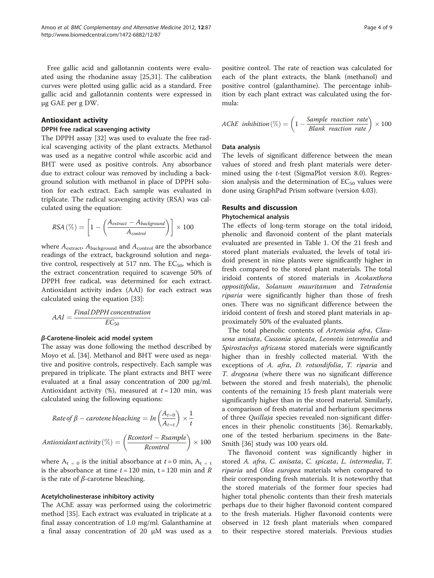Free gallic acid and gallotannin contents were evaluated using the rhodanine assay [\[25,31](#page-8-0)]. The calibration curves were plotted using gallic acid as a standard. Free gallic acid and gallotannin contents were expressed in μg GAE per g DW.

# Antioxidant activity

#### DPPH free radical scavenging activity

The DPPH assay [[32\]](#page-8-0) was used to evaluate the free radical scavenging activity of the plant extracts. Methanol was used as a negative control while ascorbic acid and BHT were used as positive controls. Any absorbance due to extract colour was removed by including a background solution with methanol in place of DPPH solution for each extract. Each sample was evaluated in triplicate. The radical scavenging activity (RSA) was calculated using the equation:

$$
RSA\left(\% \right) = \left[ 1 - \left( \frac{A_{extract} - A_{background}}{A_{control}} \right) \right] \times 100
$$

where  $A_{\text{extract}}$ ,  $A_{\text{background}}$  and  $A_{\text{control}}$  are the absorbance readings of the extract, background solution and negative control, respectively at 517 nm. The  $EC_{50}$ , which is the extract concentration required to scavenge 50% of DPPH free radical, was determined for each extract. Antioxidant activity index (AAI) for each extract was calculated using the equation [[33](#page-8-0)]:

$$
AAI = \frac{Final DPPH concentration}{EC_{50}}
$$

## β-Carotene-linoleic acid model system

The assay was done following the method described by Moyo et al. [[34\]](#page-8-0). Methanol and BHT were used as negative and positive controls, respectively. Each sample was prepared in triplicate. The plant extracts and BHT were evaluated at a final assay concentration of 200 μg/ml. Antioxidant activity  $(\%)$ , measured at  $t = 120$  min, was calculated using the following equations:

Rate of 
$$
\beta
$$
 – carotene bleaching = In  $\left(\frac{A_{t=0}}{A_{t=t}}\right) \times \frac{1}{t}$   
\nAntioxidant activity ( $\%$ ) =  $\left(\frac{Rcontor1 - Rsample}{Rcontrol}\right) \times 100$ 

where  $A_t = 0$  is the initial absorbance at  $t = 0$  min,  $A_t = t$ is the absorbance at time  $t = 120$  min,  $t = 120$  min and  $R$ is the rate of  $β$ -carotene bleaching.

#### Acetylcholinesterase inhibitory activity

The AChE assay was performed using the colorimetric method [\[35](#page-8-0)]. Each extract was evaluated in triplicate at a final assay concentration of 1.0 mg/ml. Galanthamine at a final assay concentration of 20 μM was used as a positive control. The rate of reaction was calculated for each of the plant extracts, the blank (methanol) and positive control (galanthamine). The percentage inhibition by each plant extract was calculated using the formula:

$$
AChE inhibition(%) = \left(1 - \frac{Sample reaction rate} \right) \times 100
$$

#### Data analysis

The levels of significant difference between the mean values of stored and fresh plant materials were determined using the *t*-test (SigmaPlot version 8.0). Regression analysis and the determination of  $EC_{50}$  values were done using GraphPad Prism software (version 4.03).

### Results and discussion

# Phytochemical analysis

The effects of long-term storage on the total iridoid, phenolic and flavonoid content of the plant materials evaluated are presented in Table [1](#page-2-0). Of the 21 fresh and stored plant materials evaluated, the levels of total iridoid present in nine plants were significantly higher in fresh compared to the stored plant materials. The total iridoid contents of stored materials in Acokanthera oppositifolia, Solanum mauritanum and Tetradenia riparia were significantly higher than those of fresh ones. There was no significant difference between the iridoid content of fresh and stored plant materials in approximately 50% of the evaluated plants.

The total phenolic contents of Artemisia afra, Clausena anisata, Cussonia spicata, Leonotis intermedia and Spirostachys africana stored materials were significantly higher than in freshly collected material. With the exceptions of A. afra, D. rotundifolia, T. riparia and T. dregeana (where there was no significant difference between the stored and fresh materials), the phenolic contents of the remaining 15 fresh plant materials were significantly higher than in the stored material. Similarly, a comparison of fresh material and herbarium specimens of three Quillaja species revealed non-significant differences in their phenolic constituents [\[36\]](#page-8-0). Remarkably, one of the tested herbarium specimens in the Bate-Smith [\[36\]](#page-8-0) study was 100 years old.

The flavonoid content was significantly higher in stored A. afra, C. anisata, C. spicata, L. intermedia, T. riparia and Olea europea materials when compared to their corresponding fresh materials. It is noteworthy that the stored materials of the former four species had higher total phenolic contents than their fresh materials perhaps due to their higher flavonoid content compared to the fresh materials. Higher flavonoid contents were observed in 12 fresh plant materials when compared to their respective stored materials. Previous studies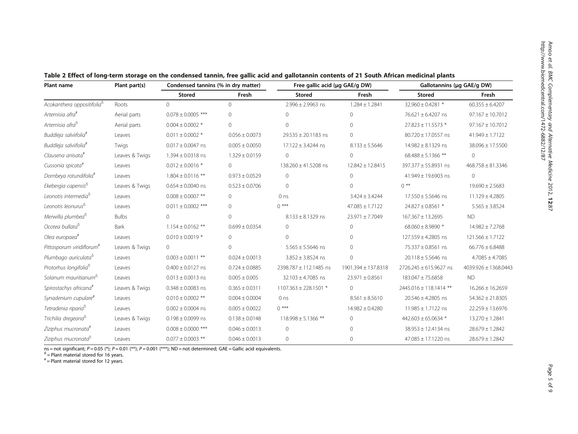| Plant name                             | Plant part(s)  | Condensed tannins (% in dry matter) |                    | Free gallic acid (µg GAE/g DW) |                      | Gallotannins (µg GAE/g DW) |                       |
|----------------------------------------|----------------|-------------------------------------|--------------------|--------------------------------|----------------------|----------------------------|-----------------------|
|                                        |                | <b>Stored</b>                       | Fresh              | <b>Stored</b>                  | Fresh                | <b>Stored</b>              | Fresh                 |
| Acokanthera oppositifolia <sup>6</sup> | Roots          | $\Omega$                            | $\Omega$           | $2.996 \pm 2.9963$ ns          | $1.284 \pm 1.2841$   | 32.960 ± 0.4281 *          | $60.355 \pm 6.4207$   |
| Artemisia afra#                        | Aerial parts   | $0.078 \pm 0.0005$ ***              | $\Omega$           | $\Omega$                       | $\circ$              | 76.621 ± 6.4207 ns         | $97.167 \pm 10.7012$  |
| Artemisia afra <sup>6</sup>            | Aerial parts   | $0.004 \pm 0.0002$ *                | $\Omega$           | $\Omega$                       | $\Omega$             | 27.823 ± 11.5573 *         | $97.167 \pm 10.7012$  |
| Buddleja salviifolia <sup>#</sup>      | Leaves         | $0.011 \pm 0.0002$ *                | $0.056 \pm 0.0073$ | $29.535 \pm 20.1183$ ns        | $\Omega$             | 80.720 ± 17.0557 ns        | $41.949 \pm 1.7122$   |
| Buddleja salviifolia <sup>#</sup>      | Twigs          | $0.017 \pm 0.0047$ ns               | $0.005 \pm 0.0050$ | 17.122 ± 3.4244 ns             | $8.133 \pm 5.5646$   | $14.982 \pm 8.1329$ ns     | 38.096 ± 17.5500      |
| Clausena anisata <sup>#</sup>          | Leaves & Twigs | $1.394 \pm 0.0318$ ns               | $1.329 \pm 0.0159$ | $\Omega$                       | $\Omega$             | $68.488 \pm 5.1366$ **     | $\Omega$              |
| Cussonia spicata#                      | Leaves         | $0.012 \pm 0.0016$ *                | $\Omega$           | 138.260 ± 41.5208 ns           | $12.842 \pm 12.8415$ | 397.377 ± 55.8931 ns       | $468.758 \pm 81.3346$ |
| Dombeya rotundifolia <sup>#</sup>      | Leaves         | $1.804 \pm 0.0116$ **               | $0.973 \pm 0.0529$ | $\Omega$                       | $\Omega$             | 41.949 ± 19.6903 ns        | $\Omega$              |
| Ekebergia capensis <sup>8</sup>        | Leaves & Twigs | $0.654 \pm 0.0040$ ns               | $0.523 \pm 0.0706$ | $\Omega$                       | $\Omega$             | $0$ **                     | $19.690 \pm 2.5683$   |
| Leonotis intermedia <sup>6</sup>       | Leaves         | $0.008 \pm 0.0007$ **               | $\Omega$           | 0 <sub>ns</sub>                | $3.424 \pm 3.4244$   | $17.550 \pm 5.5646$ ns     | $11.129 \pm 4.2805$   |
| Leonotis leonurus <sup>6</sup>         | Leaves         | $0.011 \pm 0.0002$ ***              | $\Omega$           | $()$ ***                       | $47.085 \pm 1.7122$  | 24.827 ± 0.8561 *          | $5.565 \pm 3.8524$    |
| Merwilla plumbea <sup>o</sup>          | <b>Bulbs</b>   | $\Omega$                            | $\Omega$           | $8.133 \pm 8.1329$ ns          | $23.971 \pm 7.7049$  | $167.367 \pm 13.2695$      | <b>ND</b>             |
| Ocotea bullata <sup>6</sup>            | Bark           | $1.154 \pm 0.0162$ **               | $0.699 \pm 0.0354$ | $\Omega$                       | $\Omega$             | $68.060 \pm 8.9890$ *      | $14.982 \pm 7.2768$   |
| Olea europaea#                         | Leaves         | $0.010 \pm 0.0019$ *                | $\Omega$           | $\Omega$                       | $\Omega$             | 127.559 ± 4.2805 ns        | $121.566 \pm 1.7122$  |
| Pittosporum viridiflorum <sup>#</sup>  | Leaves & Twigs | $\Omega$                            | $\cap$             | $5.565 \pm 5.5646$ ns          | $\Omega$             | 75.337 ± 0.8561 ns         | $66.776 \pm 6.8488$   |
| Plumbago auriculata <sup>6</sup>       | Leaves         | $0.003 \pm 0.0011$ **               | $0.024 \pm 0.0013$ | $3.852 \pm 3.8524$ ns          | $\Omega$             | $20.118 \pm 5.5646$ ns     | $4.7085 \pm 4.7085$   |
| Protorhus longifolia <sup>o</sup>      | Leaves         | $0.400 \pm 0.0127$ ns               | $0.724 \pm 0.0885$ | 2398.787 ± 112.1485 ns         | 1901.394 ± 137.8318  | 2726.245 ± 615.9627 ns     | 4039.926 ± 1368.0443  |
| Solanum mauritianum <sup>o</sup>       | Leaves         | $0.013 \pm 0.0013$ ns               | $0.005 \pm 0.005$  | $32.103 \pm 4.7085$ ns         | $23.971 \pm 0.8561$  | 183.047 ± 75.6858          | <b>ND</b>             |
| Spirostachys africana <sup>#</sup>     | Leaves & Twigs | $0.348 \pm 0.0083$ ns               | $0.365 \pm 0.0311$ | 1107.363 ± 228.1501 *          | $\Omega$             | 2445.016 ± 118.1414 **     | $16.266 \pm 16.2659$  |
| Synadenium cupulare <sup>#</sup>       | Leaves         | $0.010 \pm 0.0002$ **               | $0.004 \pm 0.0004$ | 0 <sub>ns</sub>                | $8.561 \pm 8.5610$   | $20.546 \pm 4.2805$ ns     | $54.362 \pm 21.8305$  |
| Tetradenia riparia <sup>o</sup>        | Leaves         | $0.002 \pm 0.0004$ ns               | $0.005 \pm 0.0022$ | $()$ ***                       | $14.982 \pm 0.4280$  | $11.985 \pm 1.7122$ ns     | 22.259 ± 13.6976      |
| Trichilia dregeana <sup>8</sup>        | Leaves & Twigs | $0.198 \pm 0.0099$ ns               | $0.138 \pm 0.0148$ | $118.998 \pm 5.1366$ **        | $\Omega$             | 442.603 ± 65.0634 $*$      | $13.270 \pm 1.2841$   |
| Ziziphus mucronata#                    | Leaves         | $0.008 \pm 0.0000$ ***              | $0.046 \pm 0.0013$ | $\Omega$                       | $\Omega$             | $38.953 \pm 12.4134$ ns    | $28.679 \pm 1.2842$   |
| Ziziphus mucronata <sup>6</sup>        | Leaves         | $0.077 \pm 0.0003$ **               | $0.046 \pm 0.0013$ | $\circ$                        | $\circ$              | 47.085 ± 17.1220 ns        | $28.679 \pm 1.2842$   |

<span id="page-4-0"></span>

ns = not significant; P = 0.05 (\*); P = 0.01 (\*\*); P = 0.001 (\*\*\*); ND = not determined; GAE = Gallic acid equivalents.<br><sup>δ</sup> = Plant material stored for 16 years.

 $* =$  Plant material stored for 12 years.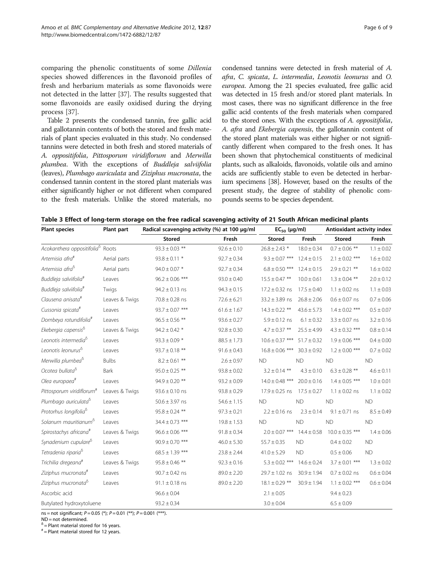<span id="page-5-0"></span>comparing the phenolic constituents of some Dillenia species showed differences in the flavonoid profiles of fresh and herbarium materials as some flavonoids were not detected in the latter [\[37\]](#page-8-0). The results suggested that some flavonoids are easily oxidised during the drying process [\[37](#page-8-0)].

Table [2](#page-4-0) presents the condensed tannin, free gallic acid and gallotannin contents of both the stored and fresh materials of plant species evaluated in this study. No condensed tannins were detected in both fresh and stored materials of A. oppositifolia, Pittosporum viridiflorum and Merwilla plumbea. With the exceptions of Buddleja salviifolia (leaves), Plumbago auriculata and Ziziphus mucronata, the condensed tannin content in the stored plant materials was either significantly higher or not different when compared to the fresh materials. Unlike the stored materials, no condensed tannins were detected in fresh material of A. afra, C. spicata, L. intermedia, Leonotis leonurus and O. europea. Among the 21 species evaluated, free gallic acid was detected in 15 fresh and/or stored plant materials. In most cases, there was no significant difference in the free gallic acid contents of the fresh materials when compared to the stored ones. With the exceptions of A. oppositifolia, A. afra and Ekebergia capensis, the gallotannin content of the stored plant materials was either higher or not significantly different when compared to the fresh ones. It has been shown that phytochemical constituents of medicinal plants, such as alkaloids, flavonoids, volatile oils and amino acids are sufficiently stable to even be detected in herbarium specimens [\[38\]](#page-8-0). However, based on the results of the present study, the degree of stability of phenolic compounds seems to be species dependent.

| Table 3 Effect of long-term storage on the free radical scavenging activity of 21 South African medicinal plants |  |  |  |  |
|------------------------------------------------------------------------------------------------------------------|--|--|--|--|
|------------------------------------------------------------------------------------------------------------------|--|--|--|--|

| <b>Plant species</b><br>Plant part           |                | Radical scavenging activity (%) at 100 µg/ml | $EC_{50}$ (µg/ml) |                                    | Antioxidant activity index |                     |                |
|----------------------------------------------|----------------|----------------------------------------------|-------------------|------------------------------------|----------------------------|---------------------|----------------|
|                                              |                | <b>Stored</b>                                | Fresh             | <b>Stored</b>                      | Fresh                      | <b>Stored</b>       | Fresh          |
| Acokanthera oppositifolia <sup>6</sup> Roots |                | $93.3 \pm 0.03$ **                           | $92.6 \pm 0.10$   | $26.8 \pm 2.43$ *                  | $18.0 \pm 0.34$            | $0.7 \pm 0.06$ **   | $1.1 \pm 0.02$ |
| Artemisia afra#                              | Aerial parts   | $93.8 \pm 0.11$ *                            | $92.7 \pm 0.34$   | $9.3 \pm 0.07$ ***                 | $12.4 \pm 0.15$            | $2.1 \pm 0.02$ ***  | $1.6 \pm 0.02$ |
| Artemisia afra <sup>6</sup>                  | Aerial parts   | $94.0 \pm 0.07$ *                            | $92.7 \pm 0.34$   | $6.8 \pm 0.50$ ***                 | $12.4 \pm 0.15$            | $2.9 \pm 0.21$ **   | $1.6 \pm 0.02$ |
| Buddleja salviifolia <sup>#</sup>            | Leaves         | $96.2 \pm 0.06$ ***                          | $93.0 \pm 0.40$   | $15.5 \pm 0.47$ **                 | $10.0 \pm 0.61$            | $1.3 \pm 0.04$ **   | $2.0 \pm 0.12$ |
| Buddleja salviifolia <sup>#</sup>            | Twigs          | $94.2 \pm 0.13$ ns                           | $94.3 \pm 0.15$   | $17.2 \pm 0.32$ ns                 | $17.5 \pm 0.40$            | $1.1 \pm 0.02$ ns   | $1.1 \pm 0.03$ |
| Clausena anisata#                            | Leaves & Twigs | $70.8 \pm 0.28$ ns                           | $72.6 \pm 6.21$   | $33.2 \pm 3.89$ ns                 | $26.8 \pm 2.06$            | $0.6 \pm 0.07$ ns   | $0.7 \pm 0.06$ |
| Cussonia spicata <sup>#</sup>                | Leaves         | $93.7 \pm 0.07$ ***                          | $61.6 \pm 1.67$   | $14.3 \pm 0.22$ **                 | $43.6 \pm 5.73$            | $1.4 \pm 0.02$ ***  | $0.5 \pm 0.07$ |
| Dombeya rotundifolia <sup>#</sup>            | Leaves         | $96.5 \pm 0.56$ **                           | $93.6 \pm 0.27$   | $5.9 \pm 0.12$ ns                  | $6.1 \pm 0.32$             | $3.3 \pm 0.07$ ns   | $3.2 \pm 0.16$ |
| Ekebergia capensis <sup>6</sup>              | Leaves & Twigs | $94.2 \pm 0.42$ *                            | $92.8 \pm 0.30$   | $4.7 \pm 0.37$ **                  | $25.5 \pm 4.99$            | $4.3 \pm 0.32$ ***  | $0.8 \pm 0.14$ |
| Leonotis intermedia <sup>6</sup>             | Leaves         | $93.3 \pm 0.09$ *                            | $88.5 \pm 1.73$   | $10.6 \pm 0.37$ ***                | $51.7 \pm 0.32$            | $1.9 \pm 0.06$ ***  | $0.4 \pm 0.00$ |
| Leonotis leonurus <sup>6</sup>               | Leaves         | $93.7 \pm 0.18$ **                           | $91.6 \pm 0.43$   | $16.8 \pm 0.06$ ***                | $30.3 \pm 0.92$            | $1.2 \pm 0.00$ ***  | $0.7 \pm 0.02$ |
| Merwilla plumbea <sup>6</sup>                | <b>Bulbs</b>   | $8.2 \pm 0.61$ **                            | $2.6 \pm 0.97$    | <b>ND</b>                          | <b>ND</b>                  | <b>ND</b>           | <b>ND</b>      |
| Ocotea bullata <sup>6</sup>                  | Bark           | $95.0 \pm 0.25$ **                           | $93.8 \pm 0.02$   | $3.2 \pm 0.14$ **                  | $4.3 \pm 0.10$             | $6.3 \pm 0.28$ **   | $4.6 \pm 0.11$ |
| Olea europaea <sup>#</sup>                   | Leaves         | $94.9 \pm 0.20$ **                           | $93.2 \pm 0.09$   | $14.0 \pm 0.48$ ***                | $20.0 \pm 0.16$            | $1.4 \pm 0.05$ ***  | $1.0 \pm 0.01$ |
| Pittosporum viridiflorum <sup>#</sup>        | Leaves & Twigs | $93.6 \pm 0.10$ ns                           | $93.8 \pm 0.29$   | $17.9 \pm 0.25$ ns                 | $17.5 \pm 0.27$            | $1.1 \pm 0.02$ ns   | $1.1 \pm 0.02$ |
| Plumbago auriculata <sup>6</sup>             | Leaves         | $50.6 \pm 3.97$ ns                           | $54.6 \pm 1.15$   | <b>ND</b>                          | <b>ND</b>                  | <b>ND</b>           | <b>ND</b>      |
| Protorhus longifolia <sup>o</sup>            | Leaves         | $95.8 \pm 0.24$ **                           | $97.3 \pm 0.21$   | $2.2 \pm 0.16$ ns                  | $2.3 \pm 0.14$             | $9.1 \pm 0.71$ ns   | $8.5 \pm 0.49$ |
| Solanum mauritianum <sup>o</sup>             | Leaves         | $34.4 \pm 0.73$ ***                          | $19.8 \pm 1.53$   | <b>ND</b>                          | <b>ND</b>                  | <b>ND</b>           | <b>ND</b>      |
| Spirostachys africana <sup>#</sup>           | Leaves & Twigs | $96.6 \pm 0.06$ ***                          | $91.8 \pm 0.34$   | $2.0 \pm 0.07$ ***                 | $14.4 \pm 0.58$            | $10.0 \pm 0.35$ *** | $1.4 \pm 0.06$ |
| Synadenium cupulare <sup>o</sup>             | Leaves         | $90.9 \pm 0.70$ ***                          | $46.0 \pm 5.30$   | $55.7 \pm 0.35$                    | <b>ND</b>                  | $0.4 \pm 0.02$      | <b>ND</b>      |
| Tetradenia riparia <sup>o</sup>              | Leaves         | $68.5 \pm 1.39$ ***                          | $23.8 \pm 2.44$   | $41.0 \pm 5.29$                    | <b>ND</b>                  | $0.5 \pm 0.06$      | <b>ND</b>      |
| Trichilia dregeana#                          | Leaves & Twigs | $95.8 \pm 0.46$ **                           | $92.3 \pm 0.16$   | $5.3 \pm 0.02$ *** 14.6 $\pm$ 0.24 |                            | $3.7 \pm 0.01$ ***  | $1.3 \pm 0.02$ |
| Ziziphus mucronata#                          | Leaves         | $90.7 \pm 0.42$ ns                           | $89.0 \pm 2.20$   | $29.7 \pm 1.02$ ns                 | $30.9 \pm 1.94$            | $0.7 \pm 0.02$ ns   | $0.6 \pm 0.04$ |
| Ziziphus mucronata <sup>6</sup>              | Leaves         | $91.1 \pm 0.18$ ns                           | $89.0 \pm 2.20$   | $18.1 \pm 0.29$ **                 | $30.9 \pm 1.94$            | $1.1 \pm 0.02$ ***  | $0.6 \pm 0.04$ |
| Ascorbic acid                                |                | $96.6 \pm 0.04$                              |                   | $2.1 \pm 0.05$                     |                            | $9.4 \pm 0.23$      |                |
| Butylated hydroxytoluene                     |                | $93.2 \pm 0.34$                              |                   | $3.0 \pm 0.04$                     |                            | $6.5 \pm 0.09$      |                |

ns = not significant; P = 0.05 (\*); P = 0.01 (\*\*); P = 0.001 (\*\*\*).

ND = not determined.

 $<sup>δ</sup>$  = Plant material stored for 16 years.</sup>

 $*$  = Plant material stored for 12 years.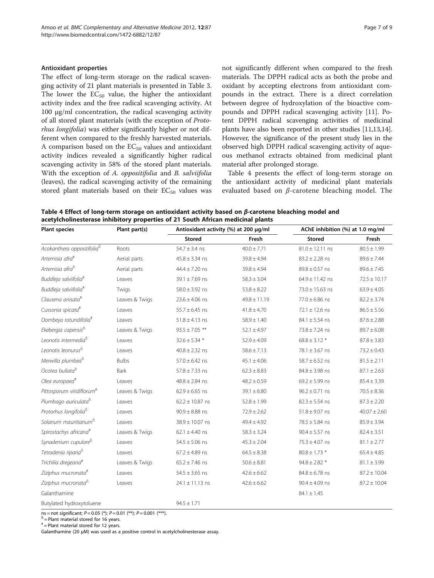### <span id="page-6-0"></span>Antioxidant properties

The effect of long-term storage on the radical scavenging activity of 21 plant materials is presented in Table [3](#page-5-0). The lower the  $EC_{50}$  value, the higher the antioxidant activity index and the free radical scavenging activity. At 100 μg/ml concentration, the radical scavenging activity of all stored plant materials (with the exception of Protorhus longifolia) was either significantly higher or not different when compared to the freshly harvested materials. A comparison based on the  $EC_{50}$  values and antioxidant activity indices revealed a significantly higher radical scavenging activity in 58% of the stored plant materials. With the exception of A. *oppositifolia* and B. *salviifolia* (leaves), the radical scavenging activity of the remaining stored plant materials based on their  $EC_{50}$  values was not significantly different when compared to the fresh materials. The DPPH radical acts as both the probe and oxidant by accepting electrons from antioxidant compounds in the extract. There is a direct correlation between degree of hydroxylation of the bioactive compounds and DPPH radical scavenging activity [\[11\]](#page-8-0). Potent DPPH radical scavenging activities of medicinal plants have also been reported in other studies [\[11,13,14](#page-8-0)]. However, the significance of the present study lies in the observed high DPPH radical scavenging activity of aqueous methanol extracts obtained from medicinal plant material after prolonged storage.

Table 4 presents the effect of long-term storage on the antioxidant activity of medicinal plant materials evaluated based on  $\beta$ -carotene bleaching model. The

Table 4 Effect of long-term storage on antioxidant activity based on β-carotene bleaching model and acetylcholinesterase inhibitory properties of 21 South African medicinal plants

| <b>Plant species</b>                   | Plant part(s)  | Antioxidant activity (%) at 200 µg/ml |                  |                     | AChE inhibition (%) at 1.0 mg/ml |  |  |
|----------------------------------------|----------------|---------------------------------------|------------------|---------------------|----------------------------------|--|--|
|                                        |                | <b>Stored</b>                         | Fresh            | <b>Stored</b>       | Fresh                            |  |  |
| Acokanthera oppositifolia <sup>6</sup> | Roots          | $54.7 \pm 3.4$ ns                     | $40.0 \pm 7.71$  | $81.0 \pm 12.11$ ns | $80.5 \pm 1.99$                  |  |  |
| Artemisia afra#                        | Aerial parts   | $45.8 \pm 3.34$ ns                    | $39.8 \pm 4.94$  | $83.2 \pm 2.28$ ns  | $89.6 \pm 7.44$                  |  |  |
| Artemisia afra <sup>6</sup>            | Aerial parts   | $44.4 \pm 7.20$ ns                    | $39.8 \pm 4.94$  | $89.8 \pm 0.57$ ns  | $89.6 \pm 7.45$                  |  |  |
| Buddleja salviifolia <sup>#</sup>      | Leaves         | $39.1 \pm 7.69$ ns                    | $58.3 \pm 3.04$  | $64.9 \pm 11.42$ ns | $72.5 \pm 10.17$                 |  |  |
| Buddleja salviifolia <sup>#</sup>      | Twigs          | $58.0 \pm 3.92$ ns                    | $53.8 \pm 8.22$  | $73.0 \pm 15.63$ ns | $63.9 \pm 4.05$                  |  |  |
| Clausena anisata <sup>#</sup>          | Leaves & Twigs | $23.6 \pm 4.06$ ns                    | $49.8 \pm 11.19$ | $77.0 \pm 6.86$ ns  | $82.2 \pm 3.74$                  |  |  |
| Cussonia spicata <sup>#</sup>          | Leaves         | $55.7 \pm 6.45$ ns                    | $41.8 \pm 4.70$  | $72.1 \pm 12.6$ ns  | $86.5 \pm 5.56$                  |  |  |
| Dombeya rotundifolia <sup>#</sup>      | Leaves         | $51.8 \pm 4.13$ ns                    | $58.9 \pm 1.40$  | $84.1 \pm 5.54$ ns  | $87.6 \pm 2.88$                  |  |  |
| Ekebergia capensis <sup>6</sup>        | Leaves & Twigs | $93.5 \pm 7.05$ **                    | $52.1 \pm 4.97$  | $73.8 \pm 7.24$ ns  | $89.7 \pm 6.08$                  |  |  |
| Leonotis intermedia <sup>6</sup>       | Leaves         | $32.6 \pm 5.34$ *                     | $52.9 \pm 4.09$  | $68.8 \pm 3.12$ *   | $87.8 \pm 3.83$                  |  |  |
| Leonotis leonurus <sup>6</sup>         | Leaves         | $40.8 \pm 2.32$ ns                    | $58.6 \pm 7.13$  | 78.1 $\pm$ 3.67 ns  | $73.2 \pm 0.43$                  |  |  |
| Merwilla plumbea <sup>o</sup>          | <b>Bulbs</b>   | $57.0 \pm 6.42$ ns                    | $45.1 \pm 4.06$  | 58.7 $\pm$ 6.52 ns  | $81.5 \pm 2.11$                  |  |  |
| Ocotea bullata <sup>6</sup>            | Bark           | $57.8 \pm 7.33$ ns                    | $62.3 \pm 8.83$  | $84.8 \pm 3.98$ ns  | $87.1 \pm 2.63$                  |  |  |
| Olea europaea#                         | Leaves         | $48.8 \pm 2.84$ ns                    | $48.2 \pm 0.59$  | $69.2 \pm 5.99$ ns  | $85.4 \pm 3.39$                  |  |  |
| Pittosporum viridiflorum <sup>#</sup>  | Leaves & Twigs | $62.9 \pm 6.65$ ns                    | $39.1 \pm 6.80$  | $96.2 \pm 0.71$ ns  | $70.5 \pm 8.36$                  |  |  |
| Plumbago auriculata <sup>o</sup>       | Leaves         | $62.2 \pm 10.87$ ns                   | $52.8 \pm 1.99$  | $82.3 \pm 5.54$ ns  | $87.3 \pm 2.20$                  |  |  |
| Protorhus longifolia <sup>8</sup>      | Leaves         | $90.9 \pm 8.88$ ns                    | $72.9 \pm 2.62$  | $51.8 \pm 9.07$ ns  | $40.07 \pm 2.60$                 |  |  |
| Solanum mauritianum <sup>6</sup>       | Leaves         | 38.9 ± 10.07 ns                       | $49.4 \pm 4.92$  | $78.5 \pm 5.84$ ns  | $85.9 \pm 3.94$                  |  |  |
| Spirostachys africana <sup>#</sup>     | Leaves & Twigs | $62.1 \pm 4.40$ ns                    | $58.3 \pm 3.24$  | $90.4 \pm 5.57$ ns  | $82.4 \pm 3.51$                  |  |  |
| Synadenium cupulare <sup>o</sup>       | Leaves         | $54.5 \pm 5.06$ ns                    | $45.3 \pm 2.04$  | $75.3 \pm 4.07$ ns  | $81.1 \pm 2.77$                  |  |  |
| Tetradenia riparia <sup>o</sup>        | Leaves         | $67.2 \pm 4.89$ ns                    | $64.5 \pm 8.38$  | $80.8 \pm 1.73$ *   | $65.4 \pm 4.85$                  |  |  |
| Trichilia dregeana <sup>#</sup>        | Leaves & Twigs | $65.2 \pm 7.46$ ns                    | $50.6 \pm 8.81$  | $94.8 \pm 2.82$ *   | $81.1 \pm 3.99$                  |  |  |
| Ziziphus mucronata#                    | Leaves         | $54.5 \pm 3.65$ ns                    | $42.6 \pm 6.62$  | $84.8 \pm 6.78$ ns  | $87.2 \pm 10.04$                 |  |  |
| Ziziphus mucronata <sup>o</sup>        | Leaves         | $24.1 \pm 11.13$ ns                   | $42.6 \pm 6.62$  | $90.4 \pm 4.09$ ns  | $87.2 \pm 10.04$                 |  |  |
| Galanthamine                           |                |                                       |                  | $84.1 \pm 1.45$     |                                  |  |  |
| Butylated hydroxytoluene               |                | $94.5 \pm 1.71$                       |                  |                     |                                  |  |  |

ns = not significant;  $P = 0.05$  (\*);  $P = 0.01$  (\*\*);  $P = 0.001$  (\*\*\*).<br>  $\frac{6}{\pi}$  = Plant material stored for 16 years.

 $* =$  Plant material stored for 12 years.

Galanthamine (20 μM) was used as a positive control in acetylcholinesterase assay.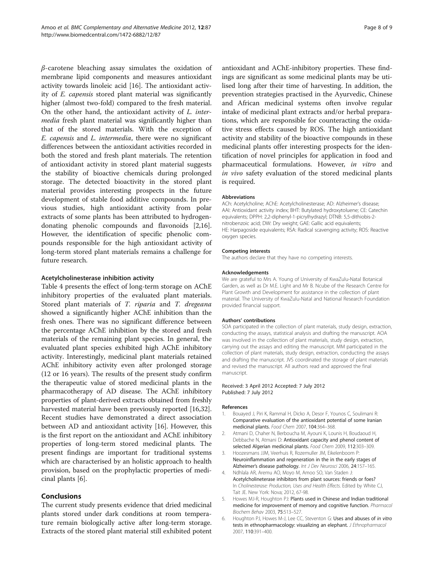<span id="page-7-0"></span> $\beta$ -carotene bleaching assay simulates the oxidation of membrane lipid components and measures antioxidant activity towards linoleic acid [[16](#page-8-0)]. The antioxidant activity of E. capensis stored plant material was significantly higher (almost two-fold) compared to the fresh material. On the other hand, the antioxidant activity of L. intermedia fresh plant material was significantly higher than that of the stored materials. With the exception of E. capensis and L. intermedia, there were no significant differences between the antioxidant activities recorded in both the stored and fresh plant materials. The retention of antioxidant activity in stored plant material suggests the stability of bioactive chemicals during prolonged storage. The detected bioactivity in the stored plant material provides interesting prospects in the future development of stable food additive compounds. In previous studies, high antioxidant activity from polar extracts of some plants has been attributed to hydrogendonating phenolic compounds and flavonoids [2,[16](#page-8-0)]. However, the identification of specific phenolic compounds responsible for the high antioxidant activity of long-term stored plant materials remains a challenge for future research.

# Acetylcholinesterase inhibition activity

Table [4](#page-6-0) presents the effect of long-term storage on AChE inhibitory properties of the evaluated plant materials. Stored plant materials of T. riparia and T. dregeana showed a significantly higher AChE inhibition than the fresh ones. There was no significant difference between the percentage AChE inhibition by the stored and fresh materials of the remaining plant species. In general, the evaluated plant species exhibited high AChE inhibitory activity. Interestingly, medicinal plant materials retained AChE inhibitory activity even after prolonged storage (12 or 16 years). The results of the present study confirm the therapeutic value of stored medicinal plants in the pharmacotherapy of AD disease. The AChE inhibitory properties of plant-derived extracts obtained from freshly harvested material have been previously reported [[16](#page-8-0),[32](#page-8-0)]. Recent studies have demonstrated a direct association between AD and antioxidant activity [[16](#page-8-0)]. However, this is the first report on the antioxidant and AChE inhibitory properties of long-term stored medicinal plants. The present findings are important for traditional systems which are characterised by an holistic approach to health provision, based on the prophylactic properties of medicinal plants [6].

# Conclusions

The current study presents evidence that dried medicinal plants stored under dark conditions at room temperature remain biologically active after long-term storage. Extracts of the stored plant material still exhibited potent

antioxidant and AChE-inhibitory properties. These findings are significant as some medicinal plants may be utilised long after their time of harvesting. In addition, the prevention strategies practised in the Ayurvedic, Chinese and African medicinal systems often involve regular intake of medicinal plant extracts and/or herbal preparations, which are responsible for counteracting the oxidative stress effects caused by ROS. The high antioxidant activity and stability of the bioactive compounds in these medicinal plants offer interesting prospects for the identification of novel principles for application in food and pharmaceutical formulations. However, in vitro and in vivo safety evaluation of the stored medicinal plants is required.

### Abbreviations

ACh: Acetylcholine; AChE: Acetylcholinesterase; AD: Alzheimer's disease; AAI: Antioxidant activity index; BHT: Butylated hydroxytoluene; CE: Catechin equivalents; DPPH: 2,2-diphenyl-1-picrylhydrazyl; DTNB: 5,5-dithiobis-2 nitrobenzoic acid; DW: Dry weight; GAE: Gallic acid equivalents; HE: Harpagoside equivalents; RSA: Radical scavenging activity; ROS: Reactive oxygen species.

#### Competing interests

The authors declare that they have no competing interests.

#### Acknowledgements

We are grateful to Mrs A. Young of University of KwaZulu-Natal Botanical Garden, as well as Dr M.E. Light and Mr B. Ncube of the Research Centre for Plant Growth and Development for assistance in the collection of plant material. The University of KwaZulu-Natal and National Research Foundation provided financial support.

#### Authors' contributions

SOA participated in the collection of plant materials, study design, extraction, conducting the assays, statistical analysis and drafting the manuscript. AOA was involved in the collection of plant materials, study design, extraction, carrying out the assays and editing the manuscript. MM participated in the collection of plant materials, study design, extraction, conducting the assays and drafting the manuscript. JVS coordinated the storage of plant materials and revised the manuscript. All authors read and approved the final manuscript.

#### Received: 3 April 2012 Accepted: 7 July 2012 Published: 7 July 2012

#### References

- Bouayed J, Piri K, Rammal H, Dicko A, Desor F, Younos C, Soulimani R: Comparative evaluation of the antioxidant potential of some Iranian medicinal plants. Food Chem 2007, 104:364–368.
- 2. Atmani D, Chaher N, Berboucha M, Ayouni K, Lounis H, Boudaoud H, Debbache N, Atmani D: Antioxidant capacity and phenol content of selected Algerian medicinal plants. Food Chem 2009, 112:303–309.
- 3. Hoozesmans JJM, Veerhuis R, Rozemuller JM, Eikelenboom P: Neuroinflammation and regeneration in the in the early stages of Alzheimer's disease pathology. Int J Dev Neurosci 2006, 24:157–165.
- 4. Ndhlala AR, Aremu AO, Moyo M, Amoo SO, Van Staden J: Acetylcholineterase inhibitors from plant sources: friends or foes? In Cholinesterase: Production, Uses and Health Effects. Edited by White CJ, Tait JE. New York: Nova; 2012, 67-98.
- 5. Howes MJ-R, Houghton PJ: Plants used in Chinese and Indian traditional medicine for improvement of memory and cognitive function. Pharmacol Biochem Behav 2003, 75:513–527.
- 6. Houghton PJ, Howes M-J, Lee CC, Steventon G: Uses and abuses of in vitro tests in ethnopharmacology: visualizing an elephant. J Ethnopharmacol 2007, 110:391–400.